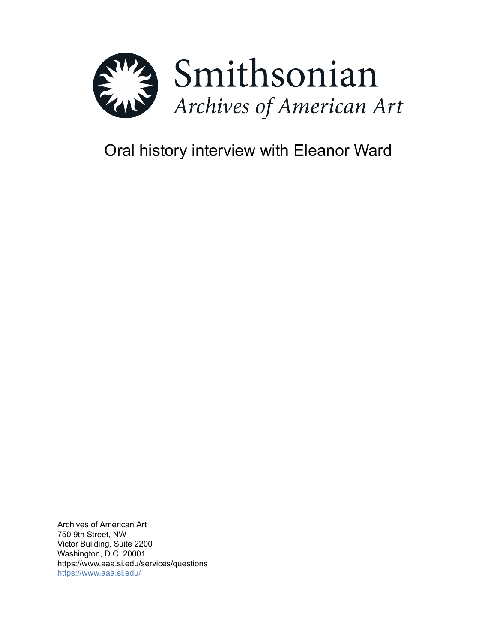

# Oral history interview with Eleanor Ward

Archives of American Art 750 9th Street, NW Victor Building, Suite 2200 Washington, D.C. 20001 https://www.aaa.si.edu/services/questions <https://www.aaa.si.edu/>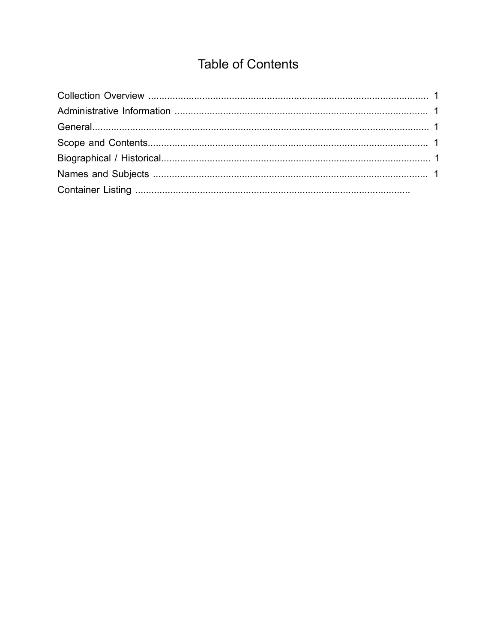## **Table of Contents**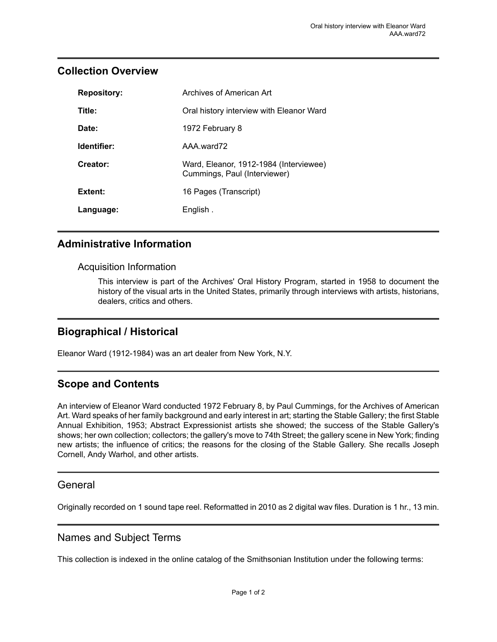### <span id="page-2-0"></span>**Collection Overview**

| <b>Repository:</b> | Archives of American Art                                               |
|--------------------|------------------------------------------------------------------------|
| Title:             | Oral history interview with Eleanor Ward                               |
| Date:              | 1972 February 8                                                        |
| Identifier:        | AAA ward72                                                             |
| Creator:           | Ward, Eleanor, 1912-1984 (Interviewee)<br>Cummings, Paul (Interviewer) |
| Extent:            | 16 Pages (Transcript)                                                  |
| Language:          | English.                                                               |

## <span id="page-2-1"></span>**Administrative Information**

#### Acquisition Information

This interview is part of the Archives' Oral History Program, started in 1958 to document the history of the visual arts in the United States, primarily through interviews with artists, historians, dealers, critics and others.

## <span id="page-2-4"></span>**Biographical / Historical**

Eleanor Ward (1912-1984) was an art dealer from New York, N.Y.

## <span id="page-2-3"></span>**Scope and Contents**

An interview of Eleanor Ward conducted 1972 February 8, by Paul Cummings, for the Archives of American Art. Ward speaks of her family background and early interest in art; starting the Stable Gallery; the first Stable Annual Exhibition, 1953; Abstract Expressionist artists she showed; the success of the Stable Gallery's shows; her own collection; collectors; the gallery's move to 74th Street; the gallery scene in New York; finding new artists; the influence of critics; the reasons for the closing of the Stable Gallery. She recalls Joseph Cornell, Andy Warhol, and other artists.

#### <span id="page-2-2"></span>General

Originally recorded on 1 sound tape reel. Reformatted in 2010 as 2 digital wav files. Duration is 1 hr., 13 min.

#### <span id="page-2-5"></span>Names and Subject Terms

This collection is indexed in the online catalog of the Smithsonian Institution under the following terms: